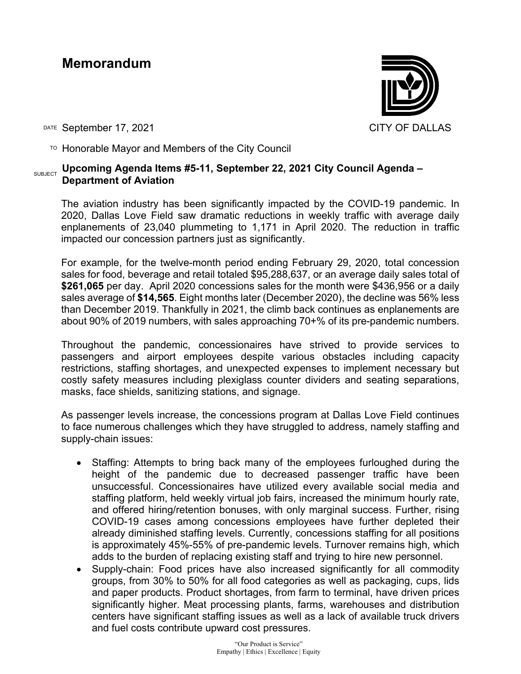## **Memorandum**



DATE September 17, 2021 CITY OF DALLAS

 $\overline{P}$  Honorable Mayor and Members of the City Council

## SUBJECT **Upcoming Agenda Items #5-11, September 22, 2021 City Council Agenda – Department of Aviation**

The aviation industry has been significantly impacted by the COVID-19 pandemic. In 2020, Dallas Love Field saw dramatic reductions in weekly traffic with average daily enplanements of 23,040 plummeting to 1,171 in April 2020. The reduction in traffic impacted our concession partners just as significantly.

For example, for the twelve-month period ending February 29, 2020, total concession sales for food, beverage and retail totaled \$95,288,637, or an average daily sales total of **\$261,065** per day. April 2020 concessions sales for the month were \$436,956 or a daily sales average of **\$14,565**. Eight months later (December 2020), the decline was 56% less than December 2019. Thankfully in 2021, the climb back continues as enplanements are about 90% of 2019 numbers, with sales approaching 70+% of its pre-pandemic numbers.

Throughout the pandemic, concessionaires have strived to provide services to passengers and airport employees despite various obstacles including capacity restrictions, staffing shortages, and unexpected expenses to implement necessary but costly safety measures including plexiglass counter dividers and seating separations, masks, face shields, sanitizing stations, and signage.

As passenger levels increase, the concessions program at Dallas Love Field continues to face numerous challenges which they have struggled to address, namely staffing and supply-chain issues:

- Staffing: Attempts to bring back many of the employees furloughed during the height of the pandemic due to decreased passenger traffic have been unsuccessful. Concessionaires have utilized every available social media and staffing platform, held weekly virtual job fairs, increased the minimum hourly rate, and offered hiring/retention bonuses, with only marginal success. Further, rising COVID-19 cases among concessions employees have further depleted their already diminished staffing levels. Currently, concessions staffing for all positions is approximately 45%-55% of pre-pandemic levels. Turnover remains high, which adds to the burden of replacing existing staff and trying to hire new personnel.
- Supply-chain: Food prices have also increased significantly for all commodity groups, from 30% to 50% for all food categories as well as packaging, cups, lids and paper products. Product shortages, from farm to terminal, have driven prices significantly higher. Meat processing plants, farms, warehouses and distribution centers have significant staffing issues as well as a lack of available truck drivers and fuel costs contribute upward cost pressures.